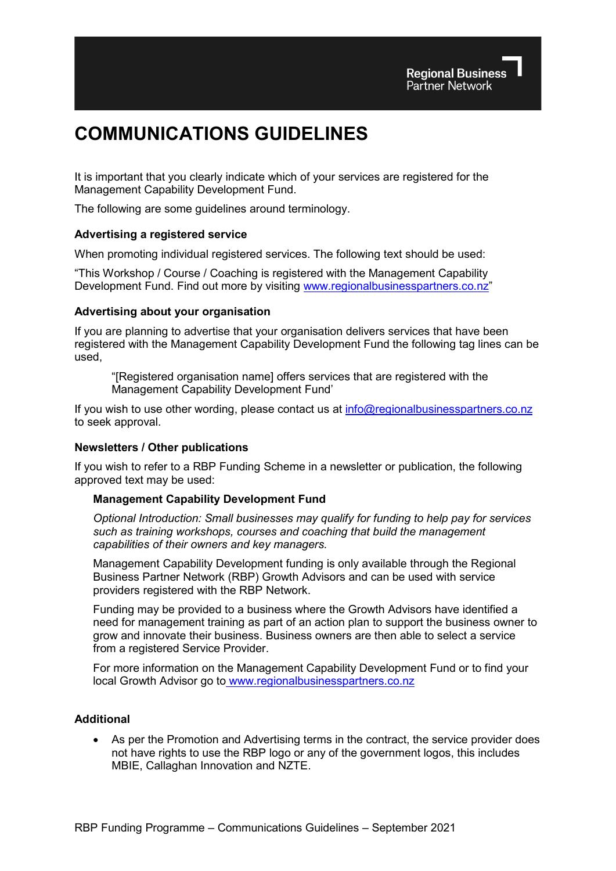# **COMMUNICATIONS GUIDELINES**

It is important that you clearly indicate which of your services are registered for the Management Capability Development Fund.

The following are some guidelines around terminology.

## **Advertising a registered service**

When promoting individual registered services. The following text should be used:

"This Workshop / Course / Coaching is registered with the Management Capability Development Fund. Find out more by visiting [www.regionalbusinesspartners.co.nz"](http://www.regionalbusinesspartners.co.nz/)

## **Advertising about your organisation**

If you are planning to advertise that your organisation delivers services that have been registered with the Management Capability Development Fund the following tag lines can be used,

"[Registered organisation name] offers services that are registered with the Management Capability Development Fund'

If you wish to use other wording, please contact us at [info@regionalbusinesspartners.co.nz](mailto:info@regionalbusinesspartners.co.nz) to seek approval.

#### **Newsletters / Other publications**

If you wish to refer to a RBP Funding Scheme in a newsletter or publication, the following approved text may be used:

#### **Management Capability Development Fund**

*Optional Introduction: Small businesses may qualify for funding to help pay for services such as training workshops, courses and coaching that build the management capabilities of their owners and key managers.*

Management Capability Development funding is only available through the Regional Business Partner Network (RBP) Growth Advisors and can be used with service providers registered with the RBP Network.

Funding may be provided to a business where the Growth Advisors have identified a need for management training as part of an action plan to support the business owner to grow and innovate their business. Business owners are then able to select a service from a registered Service Provider.

For more information on the Management Capability Development Fund or to find your local Growth Advisor go to [www.regionalbusinesspartners.co.nz](https://www.regionalbusinesspartners.co.nz/page/find-your-local-regional-business-partner)

## **Additional**

As per the Promotion and Advertising terms in the contract, the service provider does not have rights to use the RBP logo or any of the government logos, this includes MBIE, Callaghan Innovation and NZTE.